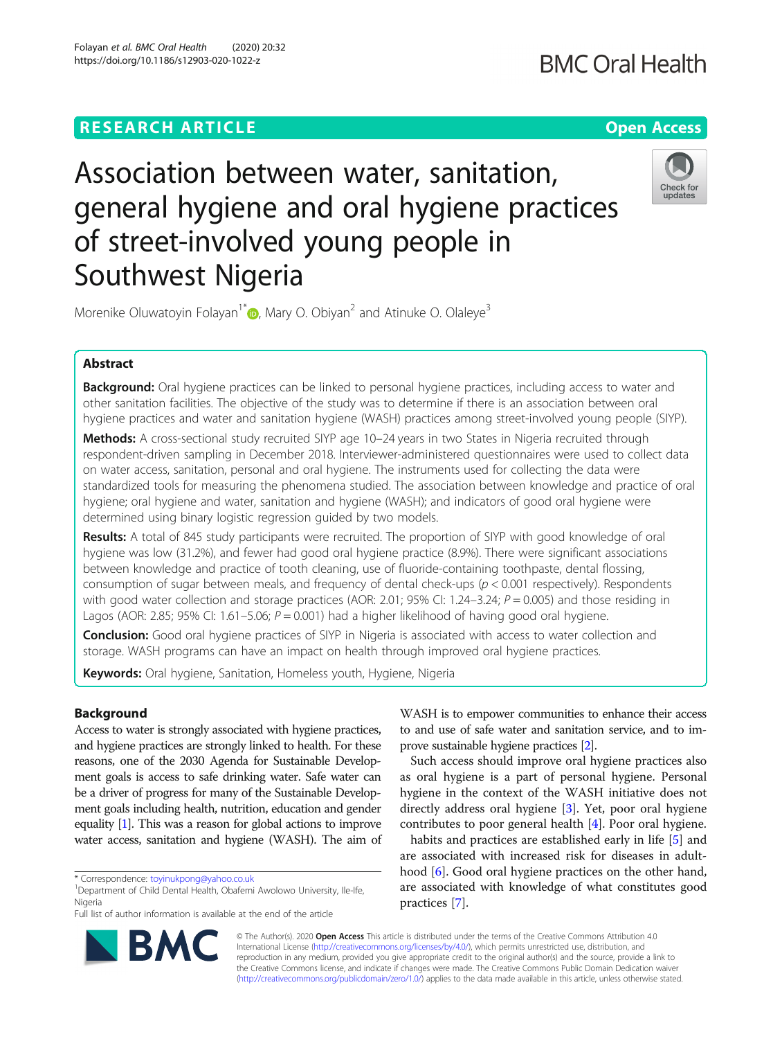# **RESEARCH ARTICLE Example 2014 12:30 The Contract of Contract ACCESS**

Southwest Nigeria

# Check for updates

Morenike Oluwatoyin Folayan<sup>1[\\*](http://orcid.org/0000-0002-9008-7730)</sup>  $\bullet$ , Mary O. Obiyan<sup>2</sup> and Atinuke O. Olaleye<sup>3</sup>

of street-involved young people in

Association between water, sanitation,

general hygiene and oral hygiene practices

# Abstract

Background: Oral hygiene practices can be linked to personal hygiene practices, including access to water and other sanitation facilities. The objective of the study was to determine if there is an association between oral hygiene practices and water and sanitation hygiene (WASH) practices among street-involved young people (SIYP).

Methods: A cross-sectional study recruited SIYP age 10-24 years in two States in Nigeria recruited through respondent-driven sampling in December 2018. Interviewer-administered questionnaires were used to collect data on water access, sanitation, personal and oral hygiene. The instruments used for collecting the data were standardized tools for measuring the phenomena studied. The association between knowledge and practice of oral hygiene; oral hygiene and water, sanitation and hygiene (WASH); and indicators of good oral hygiene were determined using binary logistic regression guided by two models.

Results: A total of 845 study participants were recruited. The proportion of SIYP with good knowledge of oral hygiene was low (31.2%), and fewer had good oral hygiene practice (8.9%). There were significant associations between knowledge and practice of tooth cleaning, use of fluoride-containing toothpaste, dental flossing, consumption of sugar between meals, and frequency of dental check-ups ( $p < 0.001$  respectively). Respondents with good water collection and storage practices (AOR: 2.01; 95% CI: 1.24–3.24;  $P = 0.005$ ) and those residing in Lagos (AOR: 2.85; 95% CI: 1.61–5.06;  $P = 0.001$ ) had a higher likelihood of having good oral hygiene.

**Conclusion:** Good oral hygiene practices of SIYP in Nigeria is associated with access to water collection and storage. WASH programs can have an impact on health through improved oral hygiene practices.

Keywords: Oral hygiene, Sanitation, Homeless youth, Hygiene, Nigeria

# Background

Access to water is strongly associated with hygiene practices, and hygiene practices are strongly linked to health. For these reasons, one of the 2030 Agenda for Sustainable Development goals is access to safe drinking water. Safe water can be a driver of progress for many of the Sustainable Development goals including health, nutrition, education and gender equality [[1](#page-9-0)]. This was a reason for global actions to improve water access, sanitation and hygiene (WASH). The aim of



Such access should improve oral hygiene practices also as oral hygiene is a part of personal hygiene. Personal hygiene in the context of the WASH initiative does not directly address oral hygiene [\[3\]](#page-9-0). Yet, poor oral hygiene contributes to poor general health [[4\]](#page-9-0). Poor oral hygiene.

habits and practices are established early in life [\[5](#page-9-0)] and are associated with increased risk for diseases in adulthood [[6\]](#page-9-0). Good oral hygiene practices on the other hand, are associated with knowledge of what constitutes good practices [[7\]](#page-9-0).



© The Author(s). 2020 Open Access This article is distributed under the terms of the Creative Commons Attribution 4.0 International License [\(http://creativecommons.org/licenses/by/4.0/](http://creativecommons.org/licenses/by/4.0/)), which permits unrestricted use, distribution, and reproduction in any medium, provided you give appropriate credit to the original author(s) and the source, provide a link to the Creative Commons license, and indicate if changes were made. The Creative Commons Public Domain Dedication waiver [\(http://creativecommons.org/publicdomain/zero/1.0/](http://creativecommons.org/publicdomain/zero/1.0/)) applies to the data made available in this article, unless otherwise stated.

<sup>\*</sup> Correspondence: [toyinukpong@yahoo.co.uk](mailto:toyinukpong@yahoo.co.uk) <sup>1</sup>

<sup>&</sup>lt;sup>1</sup> Department of Child Dental Health, Obafemi Awolowo University, Ile-Ife, Nigeria

Full list of author information is available at the end of the article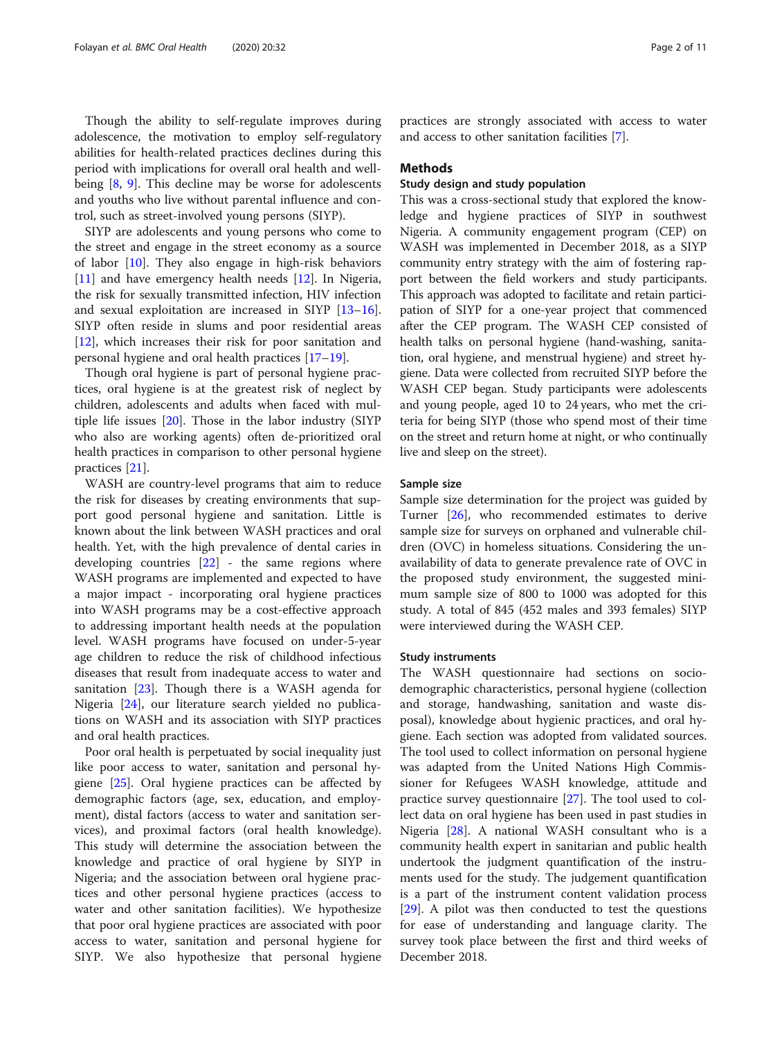Though the ability to self-regulate improves during adolescence, the motivation to employ self-regulatory abilities for health-related practices declines during this period with implications for overall oral health and wellbeing [[8,](#page-9-0) [9\]](#page-9-0). This decline may be worse for adolescents and youths who live without parental influence and control, such as street-involved young persons (SIYP).

SIYP are adolescents and young persons who come to the street and engage in the street economy as a source of labor [\[10](#page-9-0)]. They also engage in high-risk behaviors [[11\]](#page-9-0) and have emergency health needs [[12](#page-9-0)]. In Nigeria, the risk for sexually transmitted infection, HIV infection and sexual exploitation are increased in SIYP [[13](#page-9-0)–[16](#page-10-0)]. SIYP often reside in slums and poor residential areas [[12\]](#page-9-0), which increases their risk for poor sanitation and personal hygiene and oral health practices [\[17](#page-10-0)–[19\]](#page-10-0).

Though oral hygiene is part of personal hygiene practices, oral hygiene is at the greatest risk of neglect by children, adolescents and adults when faced with multiple life issues [\[20](#page-10-0)]. Those in the labor industry (SIYP who also are working agents) often de-prioritized oral health practices in comparison to other personal hygiene practices [[21\]](#page-10-0).

WASH are country-level programs that aim to reduce the risk for diseases by creating environments that support good personal hygiene and sanitation. Little is known about the link between WASH practices and oral health. Yet, with the high prevalence of dental caries in developing countries [\[22](#page-10-0)] - the same regions where WASH programs are implemented and expected to have a major impact - incorporating oral hygiene practices into WASH programs may be a cost-effective approach to addressing important health needs at the population level. WASH programs have focused on under-5-year age children to reduce the risk of childhood infectious diseases that result from inadequate access to water and sanitation [\[23\]](#page-10-0). Though there is a WASH agenda for Nigeria [[24\]](#page-10-0), our literature search yielded no publications on WASH and its association with SIYP practices and oral health practices.

Poor oral health is perpetuated by social inequality just like poor access to water, sanitation and personal hygiene [[25\]](#page-10-0). Oral hygiene practices can be affected by demographic factors (age, sex, education, and employment), distal factors (access to water and sanitation services), and proximal factors (oral health knowledge). This study will determine the association between the knowledge and practice of oral hygiene by SIYP in Nigeria; and the association between oral hygiene practices and other personal hygiene practices (access to water and other sanitation facilities). We hypothesize that poor oral hygiene practices are associated with poor access to water, sanitation and personal hygiene for SIYP. We also hypothesize that personal hygiene practices are strongly associated with access to water and access to other sanitation facilities [[7\]](#page-9-0).

### Methods

# Study design and study population

This was a cross-sectional study that explored the knowledge and hygiene practices of SIYP in southwest Nigeria. A community engagement program (CEP) on WASH was implemented in December 2018, as a SIYP community entry strategy with the aim of fostering rapport between the field workers and study participants. This approach was adopted to facilitate and retain participation of SIYP for a one-year project that commenced after the CEP program. The WASH CEP consisted of health talks on personal hygiene (hand-washing, sanitation, oral hygiene, and menstrual hygiene) and street hygiene. Data were collected from recruited SIYP before the WASH CEP began. Study participants were adolescents and young people, aged 10 to 24 years, who met the criteria for being SIYP (those who spend most of their time on the street and return home at night, or who continually live and sleep on the street).

#### Sample size

Sample size determination for the project was guided by Turner [[26](#page-10-0)], who recommended estimates to derive sample size for surveys on orphaned and vulnerable children (OVC) in homeless situations. Considering the unavailability of data to generate prevalence rate of OVC in the proposed study environment, the suggested minimum sample size of 800 to 1000 was adopted for this study. A total of 845 (452 males and 393 females) SIYP were interviewed during the WASH CEP.

# Study instruments

The WASH questionnaire had sections on sociodemographic characteristics, personal hygiene (collection and storage, handwashing, sanitation and waste disposal), knowledge about hygienic practices, and oral hygiene. Each section was adopted from validated sources. The tool used to collect information on personal hygiene was adapted from the United Nations High Commissioner for Refugees WASH knowledge, attitude and practice survey questionnaire [[27\]](#page-10-0). The tool used to collect data on oral hygiene has been used in past studies in Nigeria [\[28](#page-10-0)]. A national WASH consultant who is a community health expert in sanitarian and public health undertook the judgment quantification of the instruments used for the study. The judgement quantification is a part of the instrument content validation process [[29\]](#page-10-0). A pilot was then conducted to test the questions for ease of understanding and language clarity. The survey took place between the first and third weeks of December 2018.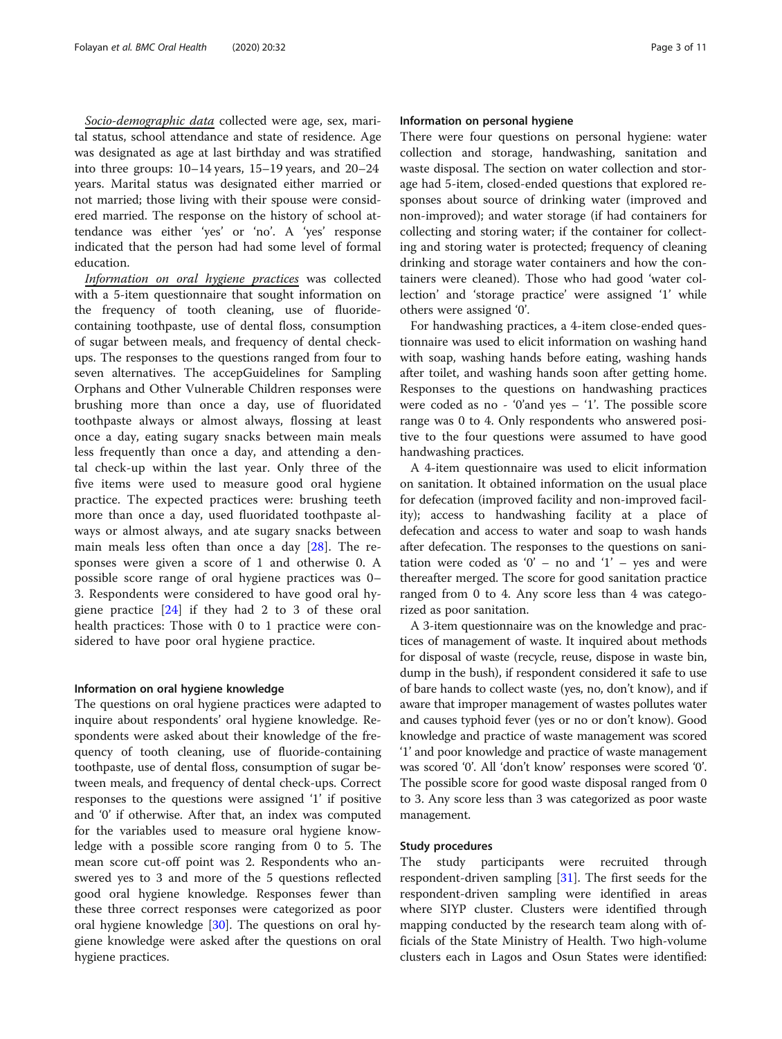Socio-demographic data collected were age, sex, marital status, school attendance and state of residence. Age was designated as age at last birthday and was stratified into three groups: 10–14 years, 15–19 years, and 20–24 years. Marital status was designated either married or not married; those living with their spouse were considered married. The response on the history of school attendance was either 'yes' or 'no'. A 'yes' response indicated that the person had had some level of formal education.

Information on oral hygiene practices was collected with a 5-item questionnaire that sought information on the frequency of tooth cleaning, use of fluoridecontaining toothpaste, use of dental floss, consumption of sugar between meals, and frequency of dental checkups. The responses to the questions ranged from four to seven alternatives. The accepGuidelines for Sampling Orphans and Other Vulnerable Children responses were brushing more than once a day, use of fluoridated toothpaste always or almost always, flossing at least once a day, eating sugary snacks between main meals less frequently than once a day, and attending a dental check-up within the last year. Only three of the five items were used to measure good oral hygiene practice. The expected practices were: brushing teeth more than once a day, used fluoridated toothpaste always or almost always, and ate sugary snacks between main meals less often than once a day [[28\]](#page-10-0). The responses were given a score of 1 and otherwise 0. A possible score range of oral hygiene practices was 0– 3. Respondents were considered to have good oral hygiene practice  $[24]$  $[24]$  if they had 2 to 3 of these oral health practices: Those with 0 to 1 practice were considered to have poor oral hygiene practice.

#### Information on oral hygiene knowledge

The questions on oral hygiene practices were adapted to inquire about respondents' oral hygiene knowledge. Respondents were asked about their knowledge of the frequency of tooth cleaning, use of fluoride-containing toothpaste, use of dental floss, consumption of sugar between meals, and frequency of dental check-ups. Correct responses to the questions were assigned '1' if positive and '0' if otherwise. After that, an index was computed for the variables used to measure oral hygiene knowledge with a possible score ranging from 0 to 5. The mean score cut-off point was 2. Respondents who answered yes to 3 and more of the 5 questions reflected good oral hygiene knowledge. Responses fewer than these three correct responses were categorized as poor oral hygiene knowledge [[30\]](#page-10-0). The questions on oral hygiene knowledge were asked after the questions on oral hygiene practices.

## Information on personal hygiene

There were four questions on personal hygiene: water collection and storage, handwashing, sanitation and waste disposal. The section on water collection and storage had 5-item, closed-ended questions that explored responses about source of drinking water (improved and non-improved); and water storage (if had containers for collecting and storing water; if the container for collecting and storing water is protected; frequency of cleaning drinking and storage water containers and how the containers were cleaned). Those who had good 'water collection' and 'storage practice' were assigned '1' while others were assigned '0'.

For handwashing practices, a 4-item close-ended questionnaire was used to elicit information on washing hand with soap, washing hands before eating, washing hands after toilet, and washing hands soon after getting home. Responses to the questions on handwashing practices were coded as no - '0'and yes – '1'. The possible score range was 0 to 4. Only respondents who answered positive to the four questions were assumed to have good handwashing practices.

A 4-item questionnaire was used to elicit information on sanitation. It obtained information on the usual place for defecation (improved facility and non-improved facility); access to handwashing facility at a place of defecation and access to water and soap to wash hands after defecation. The responses to the questions on sanitation were coded as ' $0'$  – no and '1' – yes and were thereafter merged. The score for good sanitation practice ranged from 0 to 4. Any score less than 4 was categorized as poor sanitation.

A 3-item questionnaire was on the knowledge and practices of management of waste. It inquired about methods for disposal of waste (recycle, reuse, dispose in waste bin, dump in the bush), if respondent considered it safe to use of bare hands to collect waste (yes, no, don't know), and if aware that improper management of wastes pollutes water and causes typhoid fever (yes or no or don't know). Good knowledge and practice of waste management was scored '1' and poor knowledge and practice of waste management was scored '0'. All 'don't know' responses were scored '0'. The possible score for good waste disposal ranged from 0 to 3. Any score less than 3 was categorized as poor waste management.

### Study procedures

The study participants were recruited through respondent-driven sampling [\[31\]](#page-10-0). The first seeds for the respondent-driven sampling were identified in areas where SIYP cluster. Clusters were identified through mapping conducted by the research team along with officials of the State Ministry of Health. Two high-volume clusters each in Lagos and Osun States were identified: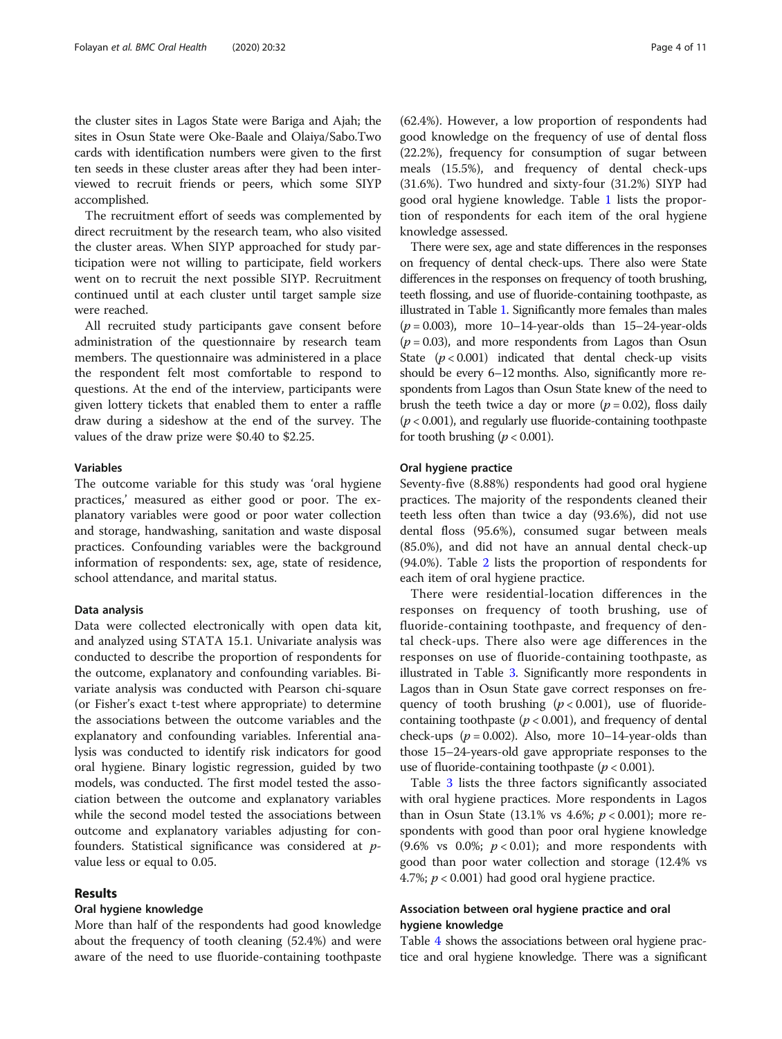the cluster sites in Lagos State were Bariga and Ajah; the sites in Osun State were Oke-Baale and Olaiya/Sabo.Two cards with identification numbers were given to the first ten seeds in these cluster areas after they had been interviewed to recruit friends or peers, which some SIYP accomplished.

The recruitment effort of seeds was complemented by direct recruitment by the research team, who also visited the cluster areas. When SIYP approached for study participation were not willing to participate, field workers went on to recruit the next possible SIYP. Recruitment continued until at each cluster until target sample size were reached.

All recruited study participants gave consent before administration of the questionnaire by research team members. The questionnaire was administered in a place the respondent felt most comfortable to respond to questions. At the end of the interview, participants were given lottery tickets that enabled them to enter a raffle draw during a sideshow at the end of the survey. The values of the draw prize were \$0.40 to \$2.25.

## Variables

The outcome variable for this study was 'oral hygiene practices,' measured as either good or poor. The explanatory variables were good or poor water collection and storage, handwashing, sanitation and waste disposal practices. Confounding variables were the background information of respondents: sex, age, state of residence, school attendance, and marital status.

#### Data analysis

Data were collected electronically with open data kit, and analyzed using STATA 15.1. Univariate analysis was conducted to describe the proportion of respondents for the outcome, explanatory and confounding variables. Bivariate analysis was conducted with Pearson chi-square (or Fisher's exact t-test where appropriate) to determine the associations between the outcome variables and the explanatory and confounding variables. Inferential analysis was conducted to identify risk indicators for good oral hygiene. Binary logistic regression, guided by two models, was conducted. The first model tested the association between the outcome and explanatory variables while the second model tested the associations between outcome and explanatory variables adjusting for confounders. Statistical significance was considered at  $p$ value less or equal to 0.05.

# Results

# Oral hygiene knowledge

More than half of the respondents had good knowledge about the frequency of tooth cleaning (52.4%) and were aware of the need to use fluoride-containing toothpaste

(62.4%). However, a low proportion of respondents had good knowledge on the frequency of use of dental floss (22.2%), frequency for consumption of sugar between meals (15.5%), and frequency of dental check-ups (31.6%). Two hundred and sixty-four (31.2%) SIYP had good oral hygiene knowledge. Table [1](#page-4-0) lists the proportion of respondents for each item of the oral hygiene knowledge assessed.

There were sex, age and state differences in the responses on frequency of dental check-ups. There also were State differences in the responses on frequency of tooth brushing, teeth flossing, and use of fluoride-containing toothpaste, as illustrated in Table [1.](#page-4-0) Significantly more females than males  $(p = 0.003)$ , more 10–14-year-olds than 15–24-year-olds  $(p = 0.03)$ , and more respondents from Lagos than Osun State  $(p < 0.001)$  indicated that dental check-up visits should be every 6–12 months. Also, significantly more respondents from Lagos than Osun State knew of the need to brush the teeth twice a day or more ( $p = 0.02$ ), floss daily  $(p < 0.001)$ , and regularly use fluoride-containing toothpaste for tooth brushing ( $p < 0.001$ ).

# Oral hygiene practice

Seventy-five (8.88%) respondents had good oral hygiene practices. The majority of the respondents cleaned their teeth less often than twice a day (93.6%), did not use dental floss (95.6%), consumed sugar between meals (85.0%), and did not have an annual dental check-up (94.0%). Table [2](#page-5-0) lists the proportion of respondents for each item of oral hygiene practice.

There were residential-location differences in the responses on frequency of tooth brushing, use of fluoride-containing toothpaste, and frequency of dental check-ups. There also were age differences in the responses on use of fluoride-containing toothpaste, as illustrated in Table [3.](#page-6-0) Significantly more respondents in Lagos than in Osun State gave correct responses on frequency of tooth brushing  $(p < 0.001)$ , use of fluoridecontaining toothpaste ( $p < 0.001$ ), and frequency of dental check-ups  $(p = 0.002)$ . Also, more 10-14-year-olds than those 15–24-years-old gave appropriate responses to the use of fluoride-containing toothpaste ( $p < 0.001$ ).

Table [3](#page-6-0) lists the three factors significantly associated with oral hygiene practices. More respondents in Lagos than in Osun State (13.1% vs 4.6%;  $p < 0.001$ ); more respondents with good than poor oral hygiene knowledge  $(9.6\% \text{ vs } 0.0\%; \ p < 0.01); \text{ and more respondents with}$ good than poor water collection and storage (12.4% vs 4.7%;  $p < 0.001$ ) had good oral hygiene practice.

# Association between oral hygiene practice and oral hygiene knowledge

Table [4](#page-7-0) shows the associations between oral hygiene practice and oral hygiene knowledge. There was a significant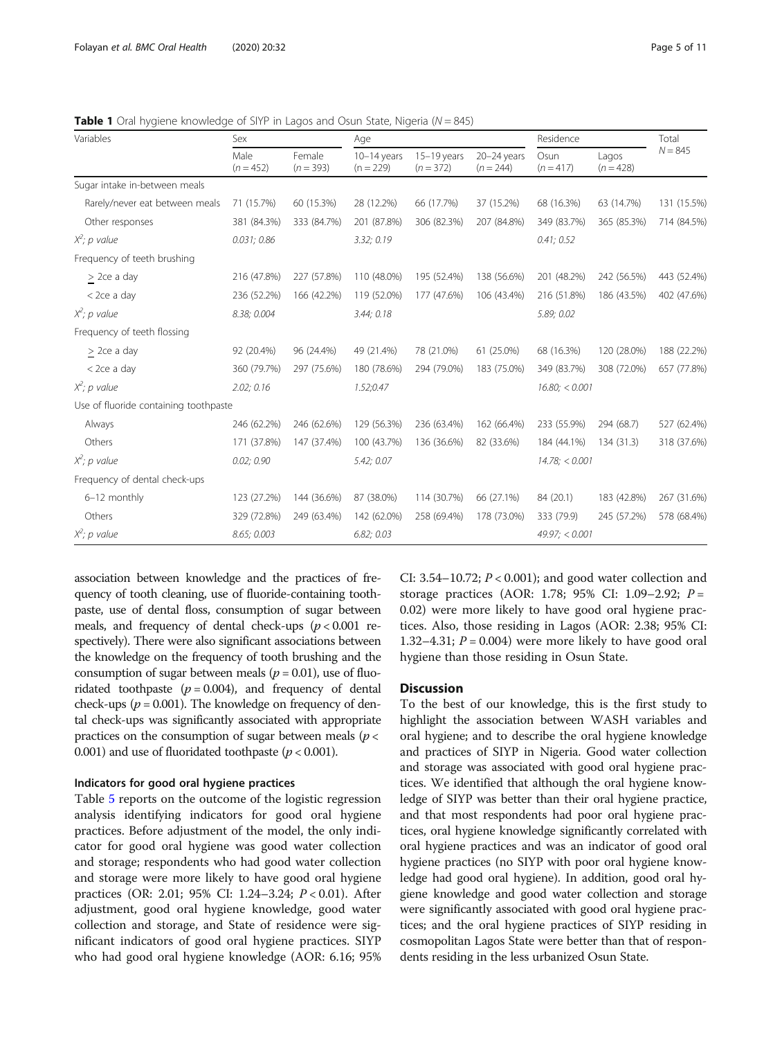| Variables                             | Sex                 |                       | Age                          |                              |                                | Residence           |                      | Total       |
|---------------------------------------|---------------------|-----------------------|------------------------------|------------------------------|--------------------------------|---------------------|----------------------|-------------|
|                                       | Male<br>$(n = 452)$ | Female<br>$(n = 393)$ | $10-14$ years<br>$(n = 229)$ | $15-19$ years<br>$(n = 372)$ | $20 - 24$ years<br>$(n = 244)$ | Osun<br>$(n = 417)$ | Lagos<br>$(n = 428)$ | $N = 845$   |
| Sugar intake in-between meals         |                     |                       |                              |                              |                                |                     |                      |             |
| Rarely/never eat between meals        | 71 (15.7%)          | 60 (15.3%)            | 28 (12.2%)                   | 66 (17.7%)                   | 37 (15.2%)                     | 68 (16.3%)          | 63 (14.7%)           | 131 (15.5%) |
| Other responses                       | 381 (84.3%)         | 333 (84.7%)           | 201 (87.8%)                  | 306 (82.3%)                  | 207 (84.8%)                    | 349 (83.7%)         | 365 (85.3%)          | 714 (84.5%) |
| $X^2$ ; p value                       | 0.031; 0.86         |                       | 3.32; 0.19                   |                              |                                | 0.41; 0.52          |                      |             |
| Frequency of teeth brushing           |                     |                       |                              |                              |                                |                     |                      |             |
| $\geq$ 2ce a day                      | 216 (47.8%)         | 227 (57.8%)           | 110 (48.0%)                  | 195 (52.4%)                  | 138 (56.6%)                    | 201 (48.2%)         | 242 (56.5%)          | 443 (52.4%) |
| < 2ce a day                           | 236 (52.2%)         | 166 (42.2%)           | 119 (52.0%)                  | 177 (47.6%)                  | 106 (43.4%)                    | 216 (51.8%)         | 186 (43.5%)          | 402 (47.6%) |
| $X^2$ ; p value                       | 8.38; 0.004         |                       | 3.44; 0.18                   |                              |                                | 5.89; 0.02          |                      |             |
| Frequency of teeth flossing           |                     |                       |                              |                              |                                |                     |                      |             |
| $\geq$ 2ce a day                      | 92 (20.4%)          | 96 (24.4%)            | 49 (21.4%)                   | 78 (21.0%)                   | 61 (25.0%)                     | 68 (16.3%)          | 120 (28.0%)          | 188 (22.2%) |
| $<$ 2ce a day                         | 360 (79.7%)         | 297 (75.6%)           | 180 (78.6%)                  | 294 (79.0%)                  | 183 (75.0%)                    | 349 (83.7%)         | 308 (72.0%)          | 657 (77.8%) |
| $X^2$ ; p value                       | 2.02; 0.16          |                       | 1.52;0.47                    |                              |                                | 16.80; < 0.001      |                      |             |
| Use of fluoride containing toothpaste |                     |                       |                              |                              |                                |                     |                      |             |
| Always                                | 246 (62.2%)         | 246 (62.6%)           | 129 (56.3%)                  | 236 (63.4%)                  | 162 (66.4%)                    | 233 (55.9%)         | 294 (68.7)           | 527 (62.4%) |
| Others                                | 171 (37.8%)         | 147 (37.4%)           | 100 (43.7%)                  | 136 (36.6%)                  | 82 (33.6%)                     | 184 (44.1%)         | 134 (31.3)           | 318 (37.6%) |
| $X^2$ ; p value                       | 0.02; 0.90          |                       | 5.42; 0.07                   |                              |                                | $14.78$ ; < 0.001   |                      |             |
| Frequency of dental check-ups         |                     |                       |                              |                              |                                |                     |                      |             |
| 6-12 monthly                          | 123 (27.2%)         | 144 (36.6%)           | 87 (38.0%)                   | 114 (30.7%)                  | 66 (27.1%)                     | 84 (20.1)           | 183 (42.8%)          | 267 (31.6%) |
| Others                                | 329 (72.8%)         | 249 (63.4%)           | 142 (62.0%)                  | 258 (69.4%)                  | 178 (73.0%)                    | 333 (79.9)          | 245 (57.2%)          | 578 (68.4%) |
| $X^2$ ; p value                       | 8.65; 0.003         |                       | 6.82; 0.03                   |                              |                                | 49.97; < 0.001      |                      |             |

<span id="page-4-0"></span>**Table 1** Oral hygiene knowledge of SIYP in Lagos and Osun State, Nigeria ( $N = 845$ )

association between knowledge and the practices of frequency of tooth cleaning, use of fluoride-containing toothpaste, use of dental floss, consumption of sugar between meals, and frequency of dental check-ups  $(p < 0.001$  respectively). There were also significant associations between the knowledge on the frequency of tooth brushing and the consumption of sugar between meals ( $p = 0.01$ ), use of fluoridated toothpaste ( $p = 0.004$ ), and frequency of dental check-ups ( $p = 0.001$ ). The knowledge on frequency of dental check-ups was significantly associated with appropriate practices on the consumption of sugar between meals ( $p <$ 0.001) and use of fluoridated toothpaste ( $p < 0.001$ ).

## Indicators for good oral hygiene practices

Table [5](#page-8-0) reports on the outcome of the logistic regression analysis identifying indicators for good oral hygiene practices. Before adjustment of the model, the only indicator for good oral hygiene was good water collection and storage; respondents who had good water collection and storage were more likely to have good oral hygiene practices (OR: 2.01; 95% CI: 1.24–3.24; P < 0.01). After adjustment, good oral hygiene knowledge, good water collection and storage, and State of residence were significant indicators of good oral hygiene practices. SIYP who had good oral hygiene knowledge (AOR: 6.16; 95% CI: 3.54–10.72;  $P < 0.001$ ); and good water collection and storage practices (AOR: 1.78; 95% CI: 1.09–2.92;  $P =$ 0.02) were more likely to have good oral hygiene practices. Also, those residing in Lagos (AOR: 2.38; 95% CI: 1.32–4.31;  $P = 0.004$ ) were more likely to have good oral hygiene than those residing in Osun State.

# **Discussion**

To the best of our knowledge, this is the first study to highlight the association between WASH variables and oral hygiene; and to describe the oral hygiene knowledge and practices of SIYP in Nigeria. Good water collection and storage was associated with good oral hygiene practices. We identified that although the oral hygiene knowledge of SIYP was better than their oral hygiene practice, and that most respondents had poor oral hygiene practices, oral hygiene knowledge significantly correlated with oral hygiene practices and was an indicator of good oral hygiene practices (no SIYP with poor oral hygiene knowledge had good oral hygiene). In addition, good oral hygiene knowledge and good water collection and storage were significantly associated with good oral hygiene practices; and the oral hygiene practices of SIYP residing in cosmopolitan Lagos State were better than that of respondents residing in the less urbanized Osun State.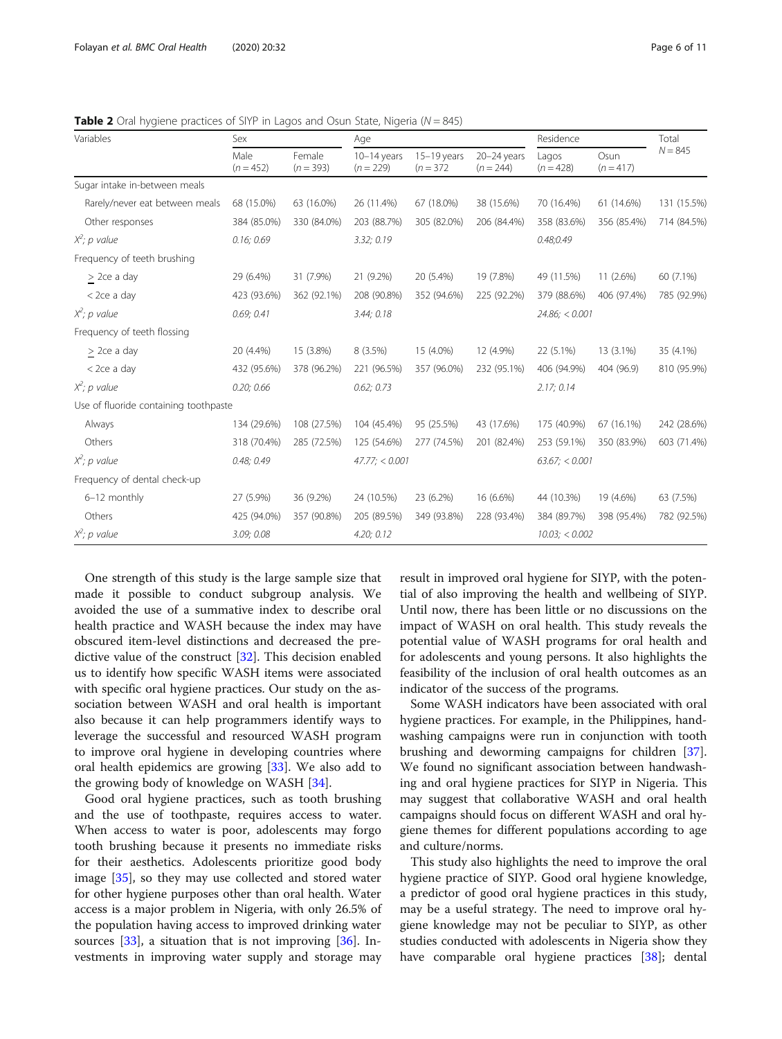| Variables                             | Sex                 |                       | Age                          |                              |                                | Residence            |                     | Total       |
|---------------------------------------|---------------------|-----------------------|------------------------------|------------------------------|--------------------------------|----------------------|---------------------|-------------|
|                                       | Male<br>$(n = 452)$ | Female<br>$(n = 393)$ | $10-14$ years<br>$(n = 229)$ | $15-19$ years<br>$(n = 372)$ | $20 - 24$ years<br>$(n = 244)$ | Lagos<br>$(n = 428)$ | Osun<br>$(n = 417)$ | $N = 845$   |
| Sugar intake in-between meals         |                     |                       |                              |                              |                                |                      |                     |             |
| Rarely/never eat between meals        | 68 (15.0%)          | 63 (16.0%)            | 26 (11.4%)                   | 67 (18.0%)                   | 38 (15.6%)                     | 70 (16.4%)           | 61 (14.6%)          | 131 (15.5%) |
| Other responses                       | 384 (85.0%)         | 330 (84.0%)           | 203 (88.7%)                  | 305 (82.0%)                  | 206 (84.4%)                    | 358 (83.6%)          | 356 (85.4%)         | 714 (84.5%) |
| $X^2$ ; p value                       | 0.16; 0.69          |                       | 3.32; 0.19                   |                              |                                | 0.48;0.49            |                     |             |
| Frequency of teeth brushing           |                     |                       |                              |                              |                                |                      |                     |             |
| > 2ce a day                           | 29 (6.4%)           | 31 (7.9%)             | 21 (9.2%)                    | 20 (5.4%)                    | 19 (7.8%)                      | 49 (11.5%)           | 11 (2.6%)           | 60 (7.1%)   |
| < 2ce a day                           | 423 (93.6%)         | 362 (92.1%)           | 208 (90.8%)                  | 352 (94.6%)                  | 225 (92.2%)                    | 379 (88.6%)          | 406 (97.4%)         | 785 (92.9%) |
| $X^2$ ; p value                       | 0.69; 0.41          |                       | 3.44; 0.18                   |                              |                                | 24.86; < 0.001       |                     |             |
| Frequency of teeth flossing           |                     |                       |                              |                              |                                |                      |                     |             |
| > 2ce a day                           | 20 (4.4%)           | 15 (3.8%)             | 8 (3.5%)                     | 15 (4.0%)                    | 12 (4.9%)                      | 22 (5.1%)            | 13 (3.1%)           | 35 (4.1%)   |
| $<$ 2ce a day                         | 432 (95.6%)         | 378 (96.2%)           | 221 (96.5%)                  | 357 (96.0%)                  | 232 (95.1%)                    | 406 (94.9%)          | 404 (96.9)          | 810 (95.9%) |
| $X^2$ ; p value                       | 0.20; 0.66          |                       | 0.62; 0.73                   |                              |                                | 2.17; 0.14           |                     |             |
| Use of fluoride containing toothpaste |                     |                       |                              |                              |                                |                      |                     |             |
| Always                                | 134 (29.6%)         | 108 (27.5%)           | 104 (45.4%)                  | 95 (25.5%)                   | 43 (17.6%)                     | 175 (40.9%)          | 67 (16.1%)          | 242 (28.6%) |
| Others                                | 318 (70.4%)         | 285 (72.5%)           | 125 (54.6%)                  | 277 (74.5%)                  | 201 (82.4%)                    | 253 (59.1%)          | 350 (83.9%)         | 603 (71.4%) |
| $X^2$ ; p value                       | 0.48; 0.49          |                       | $47.77$ ; < 0.001            |                              |                                | 63.67; < 0.001       |                     |             |
| Frequency of dental check-up          |                     |                       |                              |                              |                                |                      |                     |             |
| 6-12 monthly                          | 27 (5.9%)           | 36 (9.2%)             | 24 (10.5%)                   | 23 (6.2%)                    | 16 (6.6%)                      | 44 (10.3%)           | 19 (4.6%)           | 63 (7.5%)   |
| Others                                | 425 (94.0%)         | 357 (90.8%)           | 205 (89.5%)                  | 349 (93.8%)                  | 228 (93.4%)                    | 384 (89.7%)          | 398 (95.4%)         | 782 (92.5%) |
| $X^2$ ; p value                       | 3.09; 0.08          |                       | 4.20; 0.12                   |                              |                                | 10.03; < 0.002       |                     |             |

<span id="page-5-0"></span>**Table 2** Oral hygiene practices of SIYP in Lagos and Osun State, Nigeria ( $N = 845$ )

One strength of this study is the large sample size that made it possible to conduct subgroup analysis. We avoided the use of a summative index to describe oral health practice and WASH because the index may have obscured item-level distinctions and decreased the predictive value of the construct [[32\]](#page-10-0). This decision enabled us to identify how specific WASH items were associated with specific oral hygiene practices. Our study on the association between WASH and oral health is important also because it can help programmers identify ways to leverage the successful and resourced WASH program to improve oral hygiene in developing countries where oral health epidemics are growing [\[33](#page-10-0)]. We also add to the growing body of knowledge on WASH [[34\]](#page-10-0).

Good oral hygiene practices, such as tooth brushing and the use of toothpaste, requires access to water. When access to water is poor, adolescents may forgo tooth brushing because it presents no immediate risks for their aesthetics. Adolescents prioritize good body image [\[35\]](#page-10-0), so they may use collected and stored water for other hygiene purposes other than oral health. Water access is a major problem in Nigeria, with only 26.5% of the population having access to improved drinking water sources  $[33]$  $[33]$ , a situation that is not improving  $[36]$ . Investments in improving water supply and storage may

result in improved oral hygiene for SIYP, with the potential of also improving the health and wellbeing of SIYP. Until now, there has been little or no discussions on the impact of WASH on oral health. This study reveals the potential value of WASH programs for oral health and for adolescents and young persons. It also highlights the feasibility of the inclusion of oral health outcomes as an indicator of the success of the programs.

Some WASH indicators have been associated with oral hygiene practices. For example, in the Philippines, handwashing campaigns were run in conjunction with tooth brushing and deworming campaigns for children [\[37](#page-10-0)]. We found no significant association between handwashing and oral hygiene practices for SIYP in Nigeria. This may suggest that collaborative WASH and oral health campaigns should focus on different WASH and oral hygiene themes for different populations according to age and culture/norms.

This study also highlights the need to improve the oral hygiene practice of SIYP. Good oral hygiene knowledge, a predictor of good oral hygiene practices in this study, may be a useful strategy. The need to improve oral hygiene knowledge may not be peculiar to SIYP, as other studies conducted with adolescents in Nigeria show they have comparable oral hygiene practices [\[38](#page-10-0)]; dental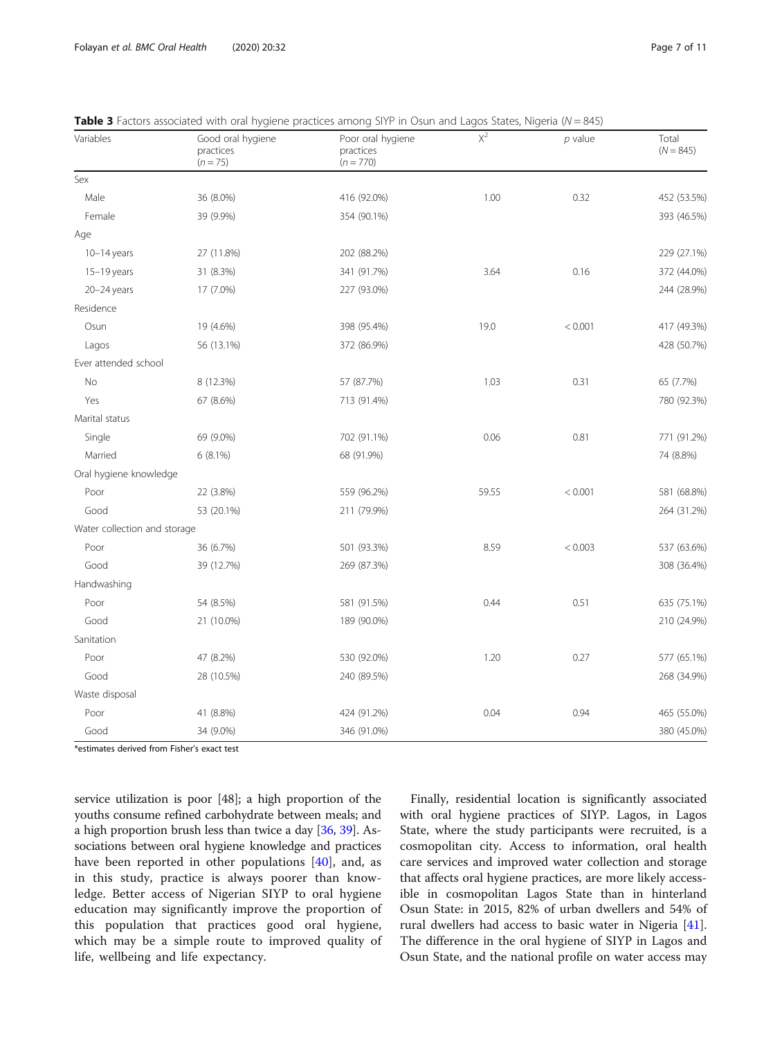| Variables                    | Good oral hygiene<br>practices<br>$(n = 75)$ | Poor oral hygiene<br>practices<br>$(n = 770)$ | $X^2$ | $p$ value | Total<br>$(N = 845)$ |
|------------------------------|----------------------------------------------|-----------------------------------------------|-------|-----------|----------------------|
| Sex                          |                                              |                                               |       |           |                      |
| Male                         | 36 (8.0%)                                    | 416 (92.0%)                                   | 1.00  | 0.32      | 452 (53.5%)          |
| Female                       | 39 (9.9%)                                    | 354 (90.1%)                                   |       |           | 393 (46.5%)          |
| Age                          |                                              |                                               |       |           |                      |
| $10-14$ years                | 27 (11.8%)                                   | 202 (88.2%)                                   |       |           | 229 (27.1%)          |
| $15-19$ years                | 31 (8.3%)                                    | 341 (91.7%)                                   | 3.64  | 0.16      | 372 (44.0%)          |
| $20 - 24$ years              | 17 (7.0%)                                    | 227 (93.0%)                                   |       |           | 244 (28.9%)          |
| Residence                    |                                              |                                               |       |           |                      |
| Osun                         | 19 (4.6%)                                    | 398 (95.4%)                                   | 19.0  | < 0.001   | 417 (49.3%)          |
| Lagos                        | 56 (13.1%)                                   | 372 (86.9%)                                   |       |           | 428 (50.7%)          |
| Ever attended school         |                                              |                                               |       |           |                      |
| No                           | 8 (12.3%)                                    | 57 (87.7%)                                    | 1.03  | 0.31      | 65 (7.7%)            |
| Yes                          | 67 (8.6%)                                    | 713 (91.4%)                                   |       |           | 780 (92.3%)          |
| Marital status               |                                              |                                               |       |           |                      |
| Single                       | 69 (9.0%)                                    | 702 (91.1%)                                   | 0.06  | 0.81      | 771 (91.2%)          |
| Married                      | 6 (8.1%)                                     | 68 (91.9%)                                    |       |           | 74 (8.8%)            |
| Oral hygiene knowledge       |                                              |                                               |       |           |                      |
| Poor                         | 22 (3.8%)                                    | 559 (96.2%)                                   | 59.55 | < 0.001   | 581 (68.8%)          |
| Good                         | 53 (20.1%)                                   | 211 (79.9%)                                   |       |           | 264 (31.2%)          |
| Water collection and storage |                                              |                                               |       |           |                      |
| Poor                         | 36 (6.7%)                                    | 501 (93.3%)                                   | 8.59  | < 0.003   | 537 (63.6%)          |
| Good                         | 39 (12.7%)                                   | 269 (87.3%)                                   |       |           | 308 (36.4%)          |
| Handwashing                  |                                              |                                               |       |           |                      |
| Poor                         | 54 (8.5%)                                    | 581 (91.5%)                                   | 0.44  | 0.51      | 635 (75.1%)          |
| Good                         | 21 (10.0%)                                   | 189 (90.0%)                                   |       |           | 210 (24.9%)          |
| Sanitation                   |                                              |                                               |       |           |                      |
| Poor                         | 47 (8.2%)                                    | 530 (92.0%)                                   | 1.20  | 0.27      | 577 (65.1%)          |
| Good                         | 28 (10.5%)                                   | 240 (89.5%)                                   |       |           | 268 (34.9%)          |
| Waste disposal               |                                              |                                               |       |           |                      |
| Poor                         | 41 (8.8%)                                    | 424 (91.2%)                                   | 0.04  | 0.94      | 465 (55.0%)          |
| Good                         | 34 (9.0%)                                    | 346 (91.0%)                                   |       |           | 380 (45.0%)          |

<span id="page-6-0"></span>

|  |  |  |  |  |  | Table 3 Factors associated with oral hygiene practices among SIYP in Osun and Lagos States, Nigeria (N = 845) |
|--|--|--|--|--|--|---------------------------------------------------------------------------------------------------------------|
|--|--|--|--|--|--|---------------------------------------------------------------------------------------------------------------|

\*estimates derived from Fisher's exact test

service utilization is poor [48]; a high proportion of the youths consume refined carbohydrate between meals; and a high proportion brush less than twice a day [\[36,](#page-10-0) [39](#page-10-0)]. Associations between oral hygiene knowledge and practices have been reported in other populations [\[40](#page-10-0)], and, as in this study, practice is always poorer than knowledge. Better access of Nigerian SIYP to oral hygiene education may significantly improve the proportion of this population that practices good oral hygiene, which may be a simple route to improved quality of life, wellbeing and life expectancy.

Finally, residential location is significantly associated with oral hygiene practices of SIYP. Lagos, in Lagos State, where the study participants were recruited, is a cosmopolitan city. Access to information, oral health care services and improved water collection and storage that affects oral hygiene practices, are more likely accessible in cosmopolitan Lagos State than in hinterland Osun State: in 2015, 82% of urban dwellers and 54% of rural dwellers had access to basic water in Nigeria [\[41](#page-10-0)]. The difference in the oral hygiene of SIYP in Lagos and Osun State, and the national profile on water access may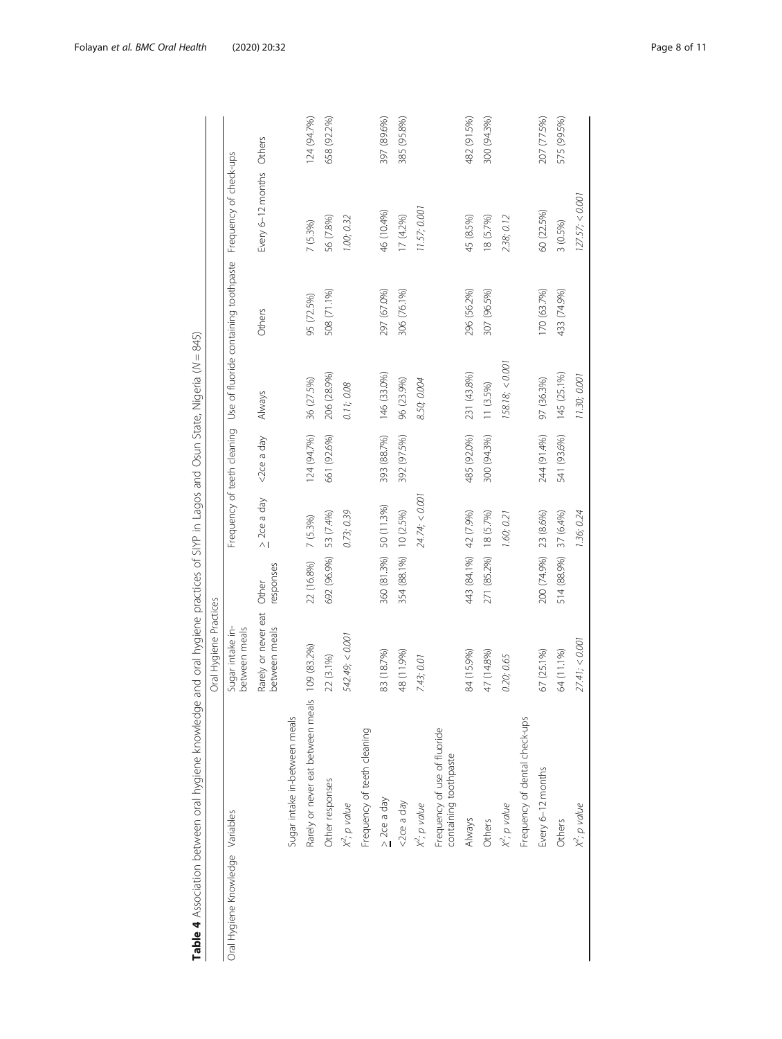<span id="page-7-0"></span>

|                                  | Table 4 Association between oral hygiene knowledge and oral hygiene practices of SIYP in Lagos and Osun State, Nigeria (N = 845) | Oral Hygiene Practices               |                       |                  |             |                 |                                                                   |                          |             |
|----------------------------------|----------------------------------------------------------------------------------------------------------------------------------|--------------------------------------|-----------------------|------------------|-------------|-----------------|-------------------------------------------------------------------|--------------------------|-------------|
| Oral Hygiene Knowledge Variables |                                                                                                                                  | Sugar intake in-<br>between meals    |                       |                  |             |                 | Frequency of teeth cleaning Use of fluoride containing toothpaste | Frequency of check-ups   |             |
|                                  |                                                                                                                                  | Rarely or never eat<br>between meals | responses<br>Other    | $\geq$ 2ce a day | <2ce a day  | Always          | Others                                                            | Every 6-12 months Others |             |
|                                  | Sugar intake in-between meals                                                                                                    |                                      |                       |                  |             |                 |                                                                   |                          |             |
|                                  | Rarely or never eat between meals                                                                                                | 109 (83.2%)                          | 22 (16.8%)            | 7 (5.3%)         | 124 (94.7%) | 36 (27.5%)      | 95 (72.5%)                                                        | 7(5.3%)                  | 124 (94.7%) |
|                                  | Other responses                                                                                                                  | 22 (3.1%)                            | 692 (96.9%)           | 53 (7.4%)        | 661 (92.6%) | 206 (28.9%)     | 508 (71.1%)                                                       | 56 (7.8%)                | 658 (92.2%) |
|                                  | $X^2$ ; p value                                                                                                                  | 542.49; < 0.00                       |                       | 0.73; 0.39       |             | 0.11; 0.08      |                                                                   | 1.00; 0.32               |             |
|                                  | Frequency of teeth cleaning                                                                                                      |                                      |                       |                  |             |                 |                                                                   |                          |             |
|                                  | $\geq$ 2ce a day                                                                                                                 | 83 (18.7%)                           | 360 (81.3%)           | 50 (11.3%)       | 393 (88.7%) | 146 (33.0%)     | 297 (67.0%)                                                       | 46 (10.4%)               | 397 (89.6%) |
|                                  | <2ce a day                                                                                                                       | 48 (11.9%)                           | 354 (88.1%) 10 (2.5%) |                  | 392 (97.5%) | 96 (23.9%)      | 306 (76.1%)                                                       | 17(4.2%)                 | 385 (95.8%) |
|                                  | $X^2$ ; p value                                                                                                                  | 7.43; 0.01                           |                       | 24.74; < 0.001   |             | 8.50; 0.004     |                                                                   | 11.57; 0.001             |             |
|                                  | Frequency of use of fluoride<br>containing toothpaste                                                                            |                                      |                       |                  |             |                 |                                                                   |                          |             |
|                                  | Always                                                                                                                           | 84 (15.9%)                           | 443 (84.1%) 42 (7.9%) |                  | 485 (92.0%) | 231 (43.8%)     | 296 (56.2%)                                                       | 45 (8.5%)                | 482 (91.5%) |
|                                  | Others                                                                                                                           | 47 (14.8%)                           | 271 (85.2%) 18 (5.7%) |                  | 300 (94.3%) | 11 (3.5%)       | 307 (96.5%)                                                       | 18 (5.7%)                | 300 (94.3%) |
|                                  | $X^2$ ; p value                                                                                                                  | 0.20; 0.65                           |                       | 1.60; 0.21       |             | 158.18; < 0.001 |                                                                   | 2.38; 0.12               |             |
|                                  | Frequency of dental check-ups                                                                                                    |                                      |                       |                  |             |                 |                                                                   |                          |             |
|                                  | Every 6-12 months                                                                                                                | 67 (25.1%)                           | 200 (74.9%) 23 (8.6%) |                  | 244 (91.4%) | 97 (36.3%)      | 170 (63.7%)                                                       | 60 (22.5%)               | 207 (77.5%) |
|                                  | Others                                                                                                                           | 64 (11.1%)                           | 514 (88.9%)           | 37 (6.4%)        | 541 (93.6%) | 145 (25.1%)     | 433 (74.9%)                                                       | 3 (0.5%)                 | 575 (99.5%) |
|                                  | $X^2$ ; p value                                                                                                                  | 27.41; < 0.001                       |                       | 1.36; 0.24       |             | 11.30; 0.001    |                                                                   | 127.57; < 0.001          |             |

| ļ<br>$\overline{ }$                                                    |   |
|------------------------------------------------------------------------|---|
| ļ                                                                      |   |
| ì                                                                      |   |
| II                                                                     |   |
| ζ                                                                      |   |
|                                                                        |   |
| į                                                                      |   |
| Ï<br>֖֖֖֪ׅ֪ׅ֖֧֪ׅ֖֧֧֚֚֚֚֚֚֚֚֚֚֚֚֚֚֚֚֡֝֝֝֝֝֝֝֬֝֝֝֬֝֓֞֬֝֓֞֬֝֓֞֬֝֓֞֬֝֓֞֞֝֬ |   |
| Ì<br>l                                                                 | Ì |
| ֘֒                                                                     |   |
| j<br>1                                                                 |   |
| $\frac{1}{2}$<br>Į<br>Ş                                                |   |
| )                                                                      |   |
|                                                                        |   |
| I<br>j                                                                 |   |
| ć<br>ï                                                                 |   |
| I                                                                      |   |
|                                                                        |   |
| ١                                                                      |   |
|                                                                        |   |
| l                                                                      |   |
| i<br>$\overline{\phantom{a}}$                                          | ì |
| j                                                                      |   |
| Ò                                                                      |   |
|                                                                        |   |
|                                                                        |   |
|                                                                        |   |
| )                                                                      |   |
|                                                                        |   |
|                                                                        |   |
| İ<br>i<br>Ï                                                            |   |
|                                                                        |   |
|                                                                        |   |
| d                                                                      |   |
| ¢                                                                      |   |
| l<br>j                                                                 |   |
| ļ<br>d                                                                 |   |
| i                                                                      | ì |
|                                                                        |   |
|                                                                        |   |
| j                                                                      |   |
| i<br>١                                                                 |   |
| ī                                                                      |   |
| į                                                                      |   |
| d                                                                      |   |
| l                                                                      |   |
| Ì<br>i                                                                 |   |
| ī<br>S<br>j                                                            |   |
|                                                                        |   |
|                                                                        |   |
| i                                                                      |   |
|                                                                        |   |
| ļ                                                                      |   |
| ļ<br>j                                                                 |   |
| Í                                                                      |   |
| ׇ֘֒                                                                    | j |
| l                                                                      |   |
| ٢                                                                      |   |
| í                                                                      |   |
| I                                                                      |   |
|                                                                        |   |
| Ó<br>i                                                                 |   |
| ì                                                                      |   |
|                                                                        |   |
|                                                                        |   |
|                                                                        |   |
| l                                                                      |   |
|                                                                        |   |
| ׇ֚֘֡<br>į                                                              |   |
|                                                                        |   |
|                                                                        |   |
| I                                                                      |   |
| í<br>ź                                                                 |   |
| ï                                                                      |   |
| d                                                                      |   |
| d<br>۰                                                                 |   |
|                                                                        |   |
| $\frac{1}{2}$<br>I                                                     |   |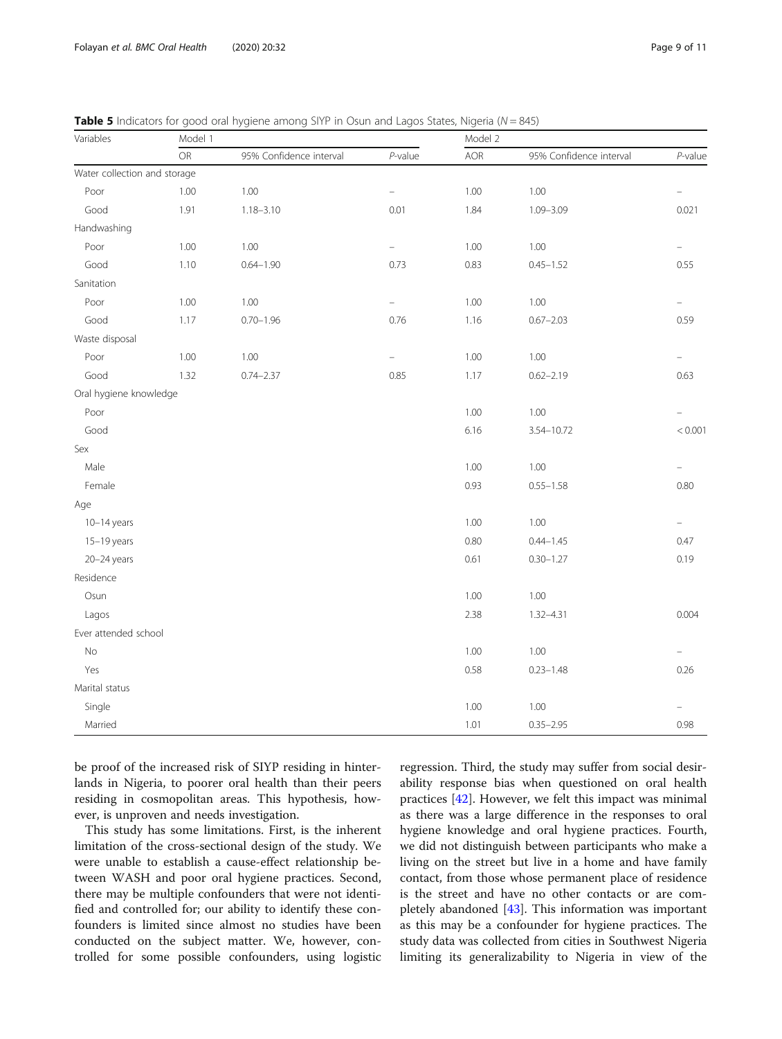<span id="page-8-0"></span>**Table 5** Indicators for good oral hygiene among SIYP in Osun and Lagos States, Nigeria ( $N = 845$ )

| Variables                    | Model 1   |                         |                          | Model 2 |                         |            |
|------------------------------|-----------|-------------------------|--------------------------|---------|-------------------------|------------|
|                              | <b>OR</b> | 95% Confidence interval | $P$ -value               | AOR     | 95% Confidence interval | $P$ -value |
| Water collection and storage |           |                         |                          |         |                         |            |
| Poor                         | 1.00      | 1.00                    |                          | 1.00    | 1.00                    |            |
| Good                         | 1.91      | $1.18 - 3.10$           | 0.01                     | 1.84    | $1.09 - 3.09$           | 0.021      |
| Handwashing                  |           |                         |                          |         |                         |            |
| Poor                         | 1.00      | 1.00                    | $\overline{\phantom{0}}$ | 1.00    | 1.00                    |            |
| Good                         | 1.10      | $0.64 - 1.90$           | 0.73                     | 0.83    | $0.45 - 1.52$           | 0.55       |
| Sanitation                   |           |                         |                          |         |                         |            |
| Poor                         | 1.00      | 1.00                    |                          | 1.00    | 1.00                    |            |
| Good                         | 1.17      | $0.70 - 1.96$           | 0.76                     | 1.16    | $0.67 - 2.03$           | 0.59       |
| Waste disposal               |           |                         |                          |         |                         |            |
| Poor                         | 1.00      | 1.00                    |                          | 1.00    | 1.00                    |            |
| Good                         | 1.32      | $0.74 - 2.37$           | 0.85                     | 1.17    | $0.62 - 2.19$           | 0.63       |
| Oral hygiene knowledge       |           |                         |                          |         |                         |            |
| Poor                         |           |                         |                          | 1.00    | 1.00                    |            |
| Good                         |           |                         |                          | 6.16    | $3.54 - 10.72$          | < 0.001    |
| Sex                          |           |                         |                          |         |                         |            |
| Male                         |           |                         |                          | 1.00    | 1.00                    |            |
| Female                       |           |                         |                          | 0.93    | $0.55 - 1.58$           | 0.80       |
| Age                          |           |                         |                          |         |                         |            |
| $10-14$ years                |           |                         |                          | 1.00    | 1.00                    |            |
| 15-19 years                  |           |                         |                          | 0.80    | $0.44 - 1.45$           | 0.47       |
| 20-24 years                  |           |                         |                          | 0.61    | $0.30 - 1.27$           | 0.19       |
| Residence                    |           |                         |                          |         |                         |            |
| Osun                         |           |                         |                          | 1.00    | 1.00                    |            |
| Lagos                        |           |                         |                          | 2.38    | $1.32 - 4.31$           | 0.004      |
| Ever attended school         |           |                         |                          |         |                         |            |
| $\rm No$                     |           |                         |                          | 1.00    | 1.00                    |            |
| Yes                          |           |                         |                          | 0.58    | $0.23 - 1.48$           | 0.26       |
| Marital status               |           |                         |                          |         |                         |            |
| Single                       |           |                         |                          | 1.00    | 1.00                    |            |
| Married                      |           |                         |                          | 1.01    | $0.35 - 2.95$           | 0.98       |

be proof of the increased risk of SIYP residing in hinterlands in Nigeria, to poorer oral health than their peers residing in cosmopolitan areas. This hypothesis, however, is unproven and needs investigation.

This study has some limitations. First, is the inherent limitation of the cross-sectional design of the study. We were unable to establish a cause-effect relationship between WASH and poor oral hygiene practices. Second, there may be multiple confounders that were not identified and controlled for; our ability to identify these confounders is limited since almost no studies have been conducted on the subject matter. We, however, controlled for some possible confounders, using logistic

regression. Third, the study may suffer from social desirability response bias when questioned on oral health practices [[42\]](#page-10-0). However, we felt this impact was minimal as there was a large difference in the responses to oral hygiene knowledge and oral hygiene practices. Fourth, we did not distinguish between participants who make a living on the street but live in a home and have family contact, from those whose permanent place of residence is the street and have no other contacts or are completely abandoned [\[43](#page-10-0)]. This information was important as this may be a confounder for hygiene practices. The study data was collected from cities in Southwest Nigeria limiting its generalizability to Nigeria in view of the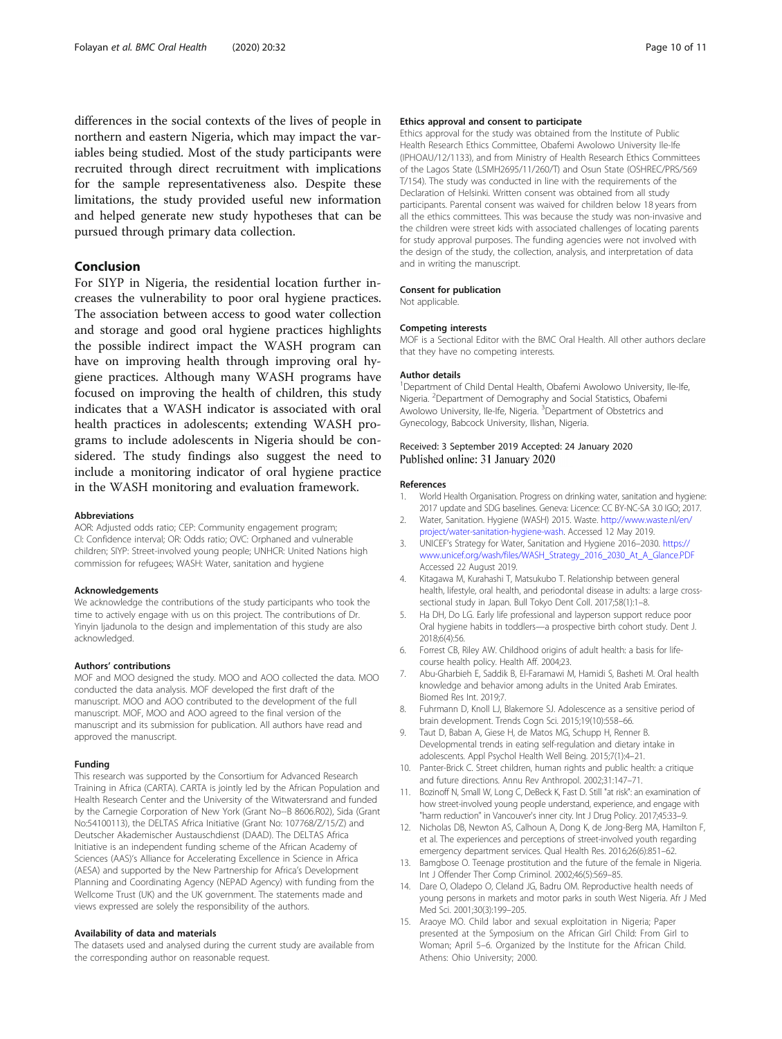<span id="page-9-0"></span>differences in the social contexts of the lives of people in northern and eastern Nigeria, which may impact the variables being studied. Most of the study participants were recruited through direct recruitment with implications for the sample representativeness also. Despite these limitations, the study provided useful new information and helped generate new study hypotheses that can be pursued through primary data collection.

# Conclusion

For SIYP in Nigeria, the residential location further increases the vulnerability to poor oral hygiene practices. The association between access to good water collection and storage and good oral hygiene practices highlights the possible indirect impact the WASH program can have on improving health through improving oral hygiene practices. Although many WASH programs have focused on improving the health of children, this study indicates that a WASH indicator is associated with oral health practices in adolescents; extending WASH programs to include adolescents in Nigeria should be considered. The study findings also suggest the need to include a monitoring indicator of oral hygiene practice in the WASH monitoring and evaluation framework.

#### Abbreviations

AOR: Adjusted odds ratio; CEP: Community engagement program; CI: Confidence interval; OR: Odds ratio; OVC: Orphaned and vulnerable children; SIYP: Street-involved young people; UNHCR: United Nations high commission for refugees; WASH: Water, sanitation and hygiene

#### Acknowledgements

We acknowledge the contributions of the study participants who took the time to actively engage with us on this project. The contributions of Dr. Yinyin Ijadunola to the design and implementation of this study are also acknowledged.

#### Authors' contributions

MOF and MOO designed the study. MOO and AOO collected the data. MOO conducted the data analysis. MOF developed the first draft of the manuscript. MOO and AOO contributed to the development of the full manuscript. MOF, MOO and AOO agreed to the final version of the manuscript and its submission for publication. All authors have read and approved the manuscript.

#### Funding

This research was supported by the Consortium for Advanced Research Training in Africa (CARTA). CARTA is jointly led by the African Population and Health Research Center and the University of the Witwatersrand and funded by the Carnegie Corporation of New York (Grant No--B 8606.R02), Sida (Grant No:54100113), the DELTAS Africa Initiative (Grant No: 107768/Z/15/Z) and Deutscher Akademischer Austauschdienst (DAAD). The DELTAS Africa Initiative is an independent funding scheme of the African Academy of Sciences (AAS)'s Alliance for Accelerating Excellence in Science in Africa (AESA) and supported by the New Partnership for Africa's Development Planning and Coordinating Agency (NEPAD Agency) with funding from the Wellcome Trust (UK) and the UK government. The statements made and views expressed are solely the responsibility of the authors.

#### Availability of data and materials

The datasets used and analysed during the current study are available from the corresponding author on reasonable request.

#### Ethics approval and consent to participate

Ethics approval for the study was obtained from the Institute of Public Health Research Ethics Committee, Obafemi Awolowo University Ile-Ife (IPHOAU/12/1133), and from Ministry of Health Research Ethics Committees of the Lagos State (LSMH2695/11/260/T) and Osun State (OSHREC/PRS/569 T/154). The study was conducted in line with the requirements of the Declaration of Helsinki. Written consent was obtained from all study participants. Parental consent was waived for children below 18 years from all the ethics committees. This was because the study was non-invasive and the children were street kids with associated challenges of locating parents for study approval purposes. The funding agencies were not involved with the design of the study, the collection, analysis, and interpretation of data and in writing the manuscript.

#### Consent for publication

Not applicable.

#### Competing interests

MOF is a Sectional Editor with the BMC Oral Health. All other authors declare that they have no competing interests.

#### Author details

<sup>1</sup>Department of Child Dental Health, Obafemi Awolowo University, Ile-Ife, Nigeria. <sup>2</sup>Department of Demography and Social Statistics, Obafemi Awolowo University, Ile-Ife, Nigeria. <sup>3</sup>Department of Obstetrics and Gynecology, Babcock University, Ilishan, Nigeria.

### Received: 3 September 2019 Accepted: 24 January 2020 Published online: 31 January 2020

#### References

- 1. World Health Organisation. Progress on drinking water, sanitation and hygiene: 2017 update and SDG baselines. Geneva: Licence: CC BY-NC-SA 3.0 IGO; 2017.
- 2. Water, Sanitation. Hygiene (WASH) 2015. Waste. [http://www.waste.nl/en/](http://www.waste.nl/en/project/water-sanitation-hygiene-wash) [project/water-sanitation-hygiene-wash](http://www.waste.nl/en/project/water-sanitation-hygiene-wash). Accessed 12 May 2019.
- 3. UNICEF's Strategy for Water, Sanitation and Hygiene 2016–2030. [https://](https://www.unicef.org/wash/files/WASH_Strategy_2016_2030_At_A_Glance.PDF) [www.unicef.org/wash/files/WASH\\_Strategy\\_2016\\_2030\\_At\\_A\\_Glance.PDF](https://www.unicef.org/wash/files/WASH_Strategy_2016_2030_At_A_Glance.PDF) Accessed 22 August 2019.
- 4. Kitagawa M, Kurahashi T, Matsukubo T. Relationship between general health, lifestyle, oral health, and periodontal disease in adults: a large crosssectional study in Japan. Bull Tokyo Dent Coll. 2017;58(1):1–8.
- 5. Ha DH, Do LG. Early life professional and layperson support reduce poor Oral hygiene habits in toddlers—a prospective birth cohort study. Dent J. 2018;6(4):56.
- 6. Forrest CB, Riley AW. Childhood origins of adult health: a basis for lifecourse health policy. Health Aff. 2004;23.
- 7. Abu-Gharbieh E, Saddik B, El-Faramawi M, Hamidi S, Basheti M. Oral health knowledge and behavior among adults in the United Arab Emirates. Biomed Res Int. 2019;7.
- 8. Fuhrmann D, Knoll LJ, Blakemore SJ. Adolescence as a sensitive period of brain development. Trends Cogn Sci. 2015;19(10):558–66.
- 9. Taut D, Baban A, Giese H, de Matos MG, Schupp H, Renner B. Developmental trends in eating self-regulation and dietary intake in adolescents. Appl Psychol Health Well Being. 2015;7(1):4–21.
- 10. Panter-Brick C. Street children, human rights and public health: a critique and future directions. Annu Rev Anthropol. 2002;31:147–71.
- 11. Bozinoff N, Small W, Long C, DeBeck K, Fast D. Still "at risk": an examination of how street-involved young people understand, experience, and engage with "harm reduction" in Vancouver's inner city. Int J Drug Policy. 2017;45:33–9.
- 12. Nicholas DB, Newton AS, Calhoun A, Dong K, de Jong-Berg MA, Hamilton F, et al. The experiences and perceptions of street-involved youth regarding emergency department services. Qual Health Res. 2016;26(6):851–62.
- 13. Bamgbose O. Teenage prostitution and the future of the female in Nigeria. Int J Offender Ther Comp Criminol. 2002;46(5):569–85.
- 14. Dare O, Oladepo O, Cleland JG, Badru OM. Reproductive health needs of young persons in markets and motor parks in south West Nigeria. Afr J Med Med Sci. 2001;30(3):199–205.
- 15. Araoye MO. Child labor and sexual exploitation in Nigeria; Paper presented at the Symposium on the African Girl Child: From Girl to Woman; April 5–6. Organized by the Institute for the African Child. Athens: Ohio University; 2000.